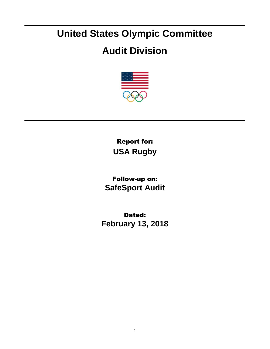## **United States Olympic Committee**

## **Audit Division**



Report for: **USA Rugby**

Follow-up on: **SafeSport Audit**

Dated: **February 13, 2018**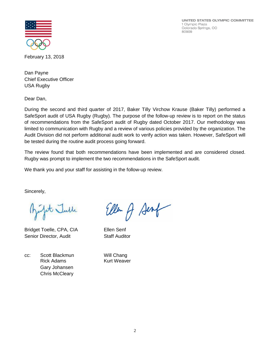UNITED STATES OLYMPIC COMMITTEE 1 Olympic Plaza Colorado Springs, CO 80909



February 13, 2018

Dan Payne Chief Executive Officer USA Rugby

Dear Dan,

During the second and third quarter of 2017, Baker Tilly Virchow Krause (Baker Tilly) performed a SafeSport audit of USA Rugby (Rugby). The purpose of the follow-up review is to report on the status of recommendations from the SafeSport audit of Rugby dated October 2017. Our methodology was limited to communication with Rugby and a review of various policies provided by the organization. The Audit Division did not perform additional audit work to verify action was taken. However, SafeSport will be tested during the routine audit process going forward.

The review found that both recommendations have been implemented and are considered closed. Rugby was prompt to implement the two recommendations in the SafeSport audit.

We thank you and your staff for assisting in the follow-up review.

Sincerely,

at Julle

Bridget Toelle, CPA, CIA Ellen Senf Senior Director, Audit Staff Auditor

cc: Scott Blackmun Will Chang Rick Adams **Kurt Weaver** Gary Johansen Chris McCleary

Ellen of Senf